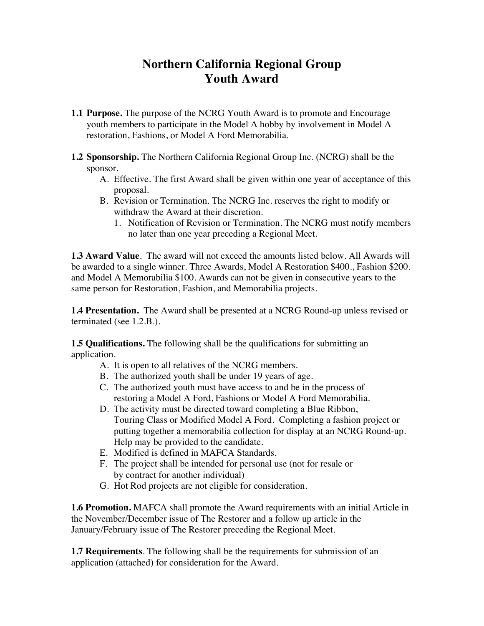## **Northern California Regional Group Youth Award**

- **1.1 Purpose.** The purpose of the NCRG Youth Award is to promote and Encourage youth members to participate in the Model A hobby by involvement in Model A restoration, Fashions, or Model A Ford Memorabilia.
- **1.2 Sponsorship.** The Northern California Regional Group Inc. (NCRG) shall be the sponsor.
	- A. Effective. The first Award shall be given within one year of acceptance of this proposal.
	- B. Revision or Termination. The NCRG Inc. reserves the right to modify or withdraw the Award at their discretion.
		- 1. Notification of Revision or Termination. The NCRG must notify members no later than one year preceding a Regional Meet.

**1.3 Award Value**. The award will not exceed the amounts listed below. All Awards will be awarded to a single winner. Three Awards, Model A Restoration \$400., Fashion \$200. and Model A Memorabilia \$100. Awards can not be given in consecutive years to the same person for Restoration, Fashion, and Memorabilia projects.

**1.4 Presentation.** The Award shall be presented at a NCRG Round-up unless revised or terminated (see 1.2.B.).

**1.5 Qualifications.** The following shall be the qualifications for submitting an application.

- A. It is open to all relatives of the NCRG members.
- B. The authorized youth shall be under 19 years of age.
- C. The authorized youth must have access to and be in the process of restoring a Model A Ford, Fashions or Model A Ford Memorabilia.
- D. The activity must be directed toward completing a Blue Ribbon, Touring Class or Modified Model A Ford. Completing a fashion project or putting together a memorabilia collection for display at an NCRG Round-up. Help may be provided to the candidate.
- E. Modified is defined in MAFCA Standards.
- F. The project shall be intended for personal use (not for resale or by contract for another individual)
- G. Hot Rod projects are not eligible for consideration.

**1.6 Promotion.** MAFCA shall promote the Award requirements with an initial Article in the November/December issue of The Restorer and a follow up article in the January/February issue of The Restorer preceding the Regional Meet.

**1.7 Requirements**. The following shall be the requirements for submission of an application (attached) for consideration for the Award.